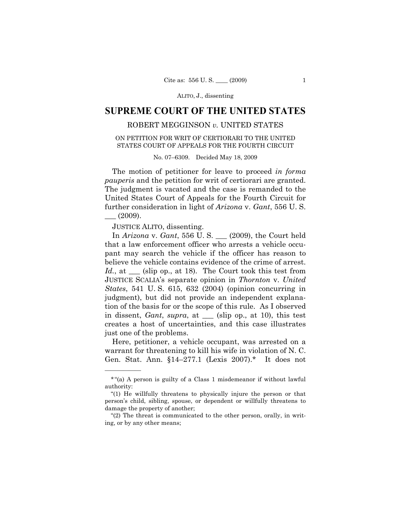ALITO, J., dissenting

# **SUPREME COURT OF THE UNITED STATES**

## ROBERT MEGGINSON *v.* UNITED STATES

### ON PETITION FOR WRIT OF CERTIORARI TO THE UNITED STATES COURT OF APPEALS FOR THE FOURTH CIRCUIT

#### No. 07–6309. Decided May 18, 2009

The motion of petitioner for leave to proceed *in forma pauperis* and the petition for writ of certiorari are granted. The judgment is vacated and the case is remanded to the United States Court of Appeals for the Fourth Circuit for further consideration in light of *Arizona* v. *Gant*, 556 U. S.  $-$  (2009).

JUSTICE ALITO, dissenting.

——————

In *Arizona* v. *Gant*, 556 U. S. \_\_\_ (2009), the Court held that a law enforcement officer who arrests a vehicle occupant may search the vehicle if the officer has reason to believe the vehicle contains evidence of the crime of arrest. *Id.*, at <u>section</u> (slip op., at 18). The Court took this test from JUSTICE SCALIA's separate opinion in *Thornton* v. *United States*, 541 U. S. 615, 632 (2004) (opinion concurring in judgment), but did not provide an independent explanation of the basis for or the scope of this rule. As I observed in dissent, *Gant*, *supra*, at \_\_\_ (slip op., at 10), this test creates a host of uncertainties, and this case illustrates just one of the problems.

Here, petitioner, a vehicle occupant, was arrested on a warrant for threatening to kill his wife in violation of N. C. Gen. Stat. Ann. §14–277.1 (Lexis 2007).\* It does not

<sup>\*</sup> "(a) A person is guilty of a Class 1 misdemeanor if without lawful authority:

<sup>&</sup>quot;(1) He willfully threatens to physically injure the person or that person's child, sibling, spouse, or dependent or willfully threatens to damage the property of another;

<sup>&</sup>quot;(2) The threat is communicated to the other person, orally, in writing, or by any other means;